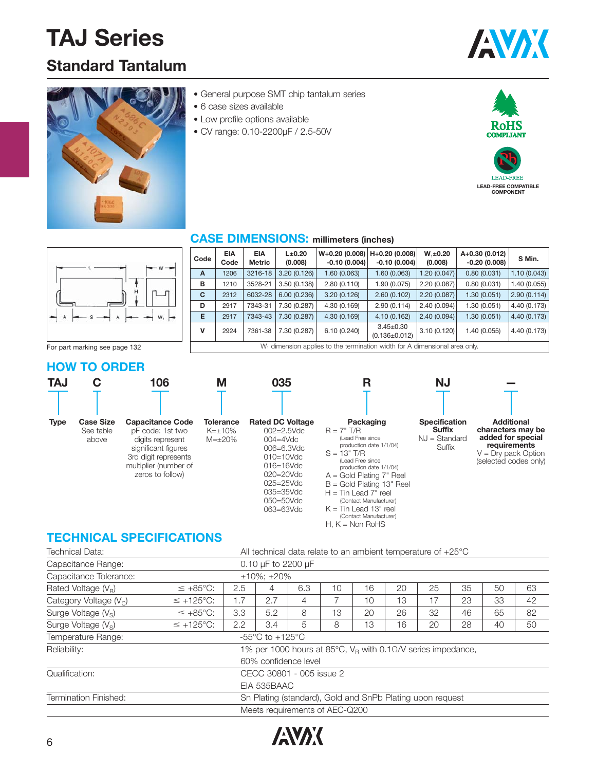## **Standard Tantalum**





- General purpose SMT chip tantalum series
- 6 case sizes available
- Low profile options available
- CV range: 0.10-2200μF / 2.5-50V



#### **CASE DIMENSIONS: millimeters (inches)**

| Code | <b>EIA</b><br>Code | <b>EIA</b><br>Metric | $L\pm 0.20$<br>(0.008) | $W+0.20$ (0.008)   H+0.20 (0.008)  <br>$-0.10(0.004)$                     | $-0.10(0.004)$                         | $W, \pm 0.20$<br>(0.008) | A+0.30 (0.012)<br>$-0.20(0.008)$ | S Min.       |
|------|--------------------|----------------------|------------------------|---------------------------------------------------------------------------|----------------------------------------|--------------------------|----------------------------------|--------------|
| A    | 1206               | 3216-18              | 3.20(0.126)            | 1.60(0.063)                                                               | 1.60(0.063)                            | 1.20(0.047)              | 0.80(0.031)                      | 1.10(0.043)  |
| в    | 1210               | 3528-21              | 3.50(0.138)            | 2.80(0.110)                                                               | 1.90 (0.075)                           | 2.20(0.087)              | 0.80(0.031)                      | 1.40(0.055)  |
| C    | 2312               | 6032-28              | 6.00(0.236)            | 3.20(0.126)                                                               | 2.60(0.102)                            | 2.20(0.087)              | 1.30(0.051)                      | 2.90(0.114)  |
| D    | 2917               | 7343-31              | 7.30 (0.287)           | 4.30 (0.169)                                                              | 2.90(0.114)                            | 2.40 (0.094)             | 1.30(0.051)                      | 4.40 (0.173) |
| Е    | 2917               | 7343-43              | 7.30 (0.287)           | 4.30 (0.169)                                                              | 4.10(0.162)                            | 2,40(0.094)              | 1.30(0.051)                      | 4.40 (0.173) |
| v    | 2924               | 7361-38              | 7.30 (0.287)           | 6.10(0.240)                                                               | $3.45 \pm 0.30$<br>$(0.136 \pm 0.012)$ | 3.10(0.120)              | 1.40 (0.055)                     | 4.40 (0.173) |
|      |                    |                      |                        | W. dimension applies to the termination width for A dimensional area only |                                        |                          |                                  |              |

For part marking see page 132

#### **HOW TO ORDER**



### **TECHNICAL SPECIFICATIONS**

| Technical Data:                 | All technical data relate to an ambient temperature of $+25^{\circ}$ C       |     |                                                       |                                                                |    |    |    |    |    |    |    |  |  |
|---------------------------------|------------------------------------------------------------------------------|-----|-------------------------------------------------------|----------------------------------------------------------------|----|----|----|----|----|----|----|--|--|
| Capacitance Range:              | 0.10 µF to 2200 µF                                                           |     |                                                       |                                                                |    |    |    |    |    |    |    |  |  |
| Capacitance Tolerance:          |                                                                              |     | $±10\%$ : $±20\%$                                     |                                                                |    |    |    |    |    |    |    |  |  |
| Rated Voltage $(V_R)$           | 10<br>25<br>35<br>50<br>$\leq +85^{\circ}C$ :<br>2.5<br>6.3<br>16<br>20<br>4 |     |                                                       |                                                                |    |    |    |    |    |    | 63 |  |  |
| Category Voltage $(V_C)$        | $\leq$ +125°C:                                                               | 1.7 | 2.7                                                   | 4                                                              | 7  | 10 | 13 | 17 | 23 | 33 | 42 |  |  |
| Surge Voltage $(V_s)$           | $\leq +85^{\circ}C$ :                                                        | 3.3 | 5.2                                                   | 8                                                              | 13 | 20 | 26 | 32 | 46 | 65 | 82 |  |  |
| Surge Voltage (V <sub>s</sub> ) | $\leq$ +125°C:                                                               | 2.2 | 3.4                                                   | 5                                                              | 8  | 13 | 16 | 20 | 28 | 40 | 50 |  |  |
| Temperature Range:              |                                                                              |     | -55 $\mathrm{^{\circ}C}$ to +125 $\mathrm{^{\circ}C}$ |                                                                |    |    |    |    |    |    |    |  |  |
| Reliability:                    |                                                                              |     |                                                       | 1% per 1000 hours at 85°C, $V_R$ with 0.10/V series impedance, |    |    |    |    |    |    |    |  |  |
|                                 |                                                                              |     |                                                       | 60% confidence level                                           |    |    |    |    |    |    |    |  |  |
| Qualification:                  |                                                                              |     |                                                       | CECC 30801 - 005 issue 2                                       |    |    |    |    |    |    |    |  |  |
|                                 |                                                                              |     | EIA 535BAAC                                           |                                                                |    |    |    |    |    |    |    |  |  |
| Termination Finished:           |                                                                              |     |                                                       | Sn Plating (standard), Gold and SnPb Plating upon request      |    |    |    |    |    |    |    |  |  |
|                                 |                                                                              |     |                                                       | Meets requirements of AEC-Q200                                 |    |    |    |    |    |    |    |  |  |

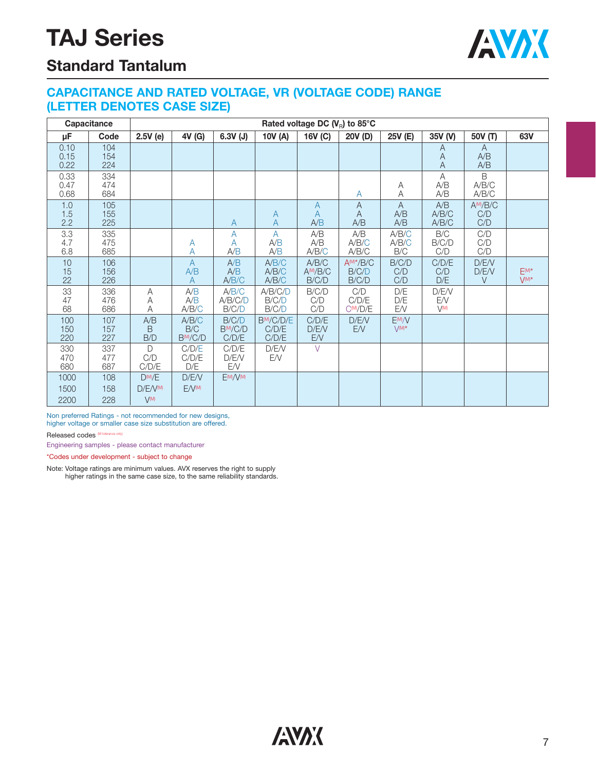

### **Standard Tantalum**

#### **CAPACITANCE AND RATED VOLTAGE, VR (VOLTAGE CODE) RANGE (LETTER DENOTES CASE SIZE)**

|                      | Capacitance       | Rated voltage DC $(V_{\rm R})$ to 85°C         |                            |                                 |                              |                                     |                                  |                               |                          |                           |                      |
|----------------------|-------------------|------------------------------------------------|----------------------------|---------------------------------|------------------------------|-------------------------------------|----------------------------------|-------------------------------|--------------------------|---------------------------|----------------------|
| μF                   | Code              | 2.5V(e)                                        | 4V (G)                     | $6.3V$ (J)                      | 10V (A)                      | 16V (C)                             | 20V (D)                          | 25V (E)                       | 35V (V)                  | 50V (T)                   | 63V                  |
| 0.10<br>0.15<br>0.22 | 104<br>154<br>224 |                                                |                            |                                 |                              |                                     |                                  |                               | Α<br>Α<br>A              | A<br>A/B<br>A/B           |                      |
| 0.33<br>0.47<br>0.68 | 334<br>474<br>684 |                                                |                            |                                 |                              |                                     | A                                | Α<br>Α                        | A<br>A/B<br>A/B          | B<br>A/B/C<br>A/B/C       |                      |
| 1.0<br>1.5<br>2.2    | 105<br>155<br>225 |                                                |                            | A                               | A<br>A                       | $\overline{A}$<br>A<br>A/B          | $\overline{A}$<br>A<br>A/B       | $\overline{A}$<br>A/B<br>A/B  | A/B<br>A/B/C<br>A/B/C    | $A^{M}/B/C$<br>C/D<br>C/D |                      |
| 3.3<br>4.7<br>6.8    | 335<br>475<br>685 |                                                | Α<br>А                     | А<br>A<br>A/B                   | $\overline{A}$<br>A/B<br>A/B | A/B<br>A/B<br>A/B/C                 | A/B<br>A/B/C<br>A/B/C            | A/B/C<br>A/B/C<br>B/C         | B/C<br>B/C/D<br>C/D      | C/D<br>C/D<br>C/D         |                      |
| 10<br>15<br>22       | 106<br>156<br>226 |                                                | $\overline{A}$<br>A/B<br>A | A/B<br>A/B<br>A/B/C             | A/B/C<br>A/B/C<br>A/B/C      | A/B/C<br>AM/B/C<br>B/C/D            | $A^{(M)*}/B/C$<br>B/C/D<br>B/C/D | B/C/D<br>C/D<br>C/D           | C/D/E<br>C/D<br>D/E      | D/E/V<br>D/E/V<br>$\vee$  | $E(M)^*$<br>$V(M)^*$ |
| 33<br>47<br>68       | 336<br>476<br>686 | Α<br>Α<br>A                                    | A/B<br>A/B<br>A/B/C        | A/B/C<br>A/B/C/D<br>B/C/D       | A/B/C/D<br>B/C/D<br>B/C/D    | B/C/D<br>C/D<br>C/D                 | C/D<br>C/D/E<br>$C^{(M)}/D/E$    | D/E<br>D/E<br>EN.             | D/E/V<br>EN<br>$V^{(M)}$ |                           |                      |
| 100<br>150<br>220    | 107<br>157<br>227 | A/B<br>B<br>B/D                                | A/B/C<br>B/C<br>BM/C/D     | B/C/D<br>$B^{(M)}/C/D$<br>C/D/E | BM/C/D/E<br>C/D/E<br>C/D/E   | C/D/E<br>D/E/V<br>${\sf E}{\cal N}$ | D/E/V<br>E/V                     | E(M)/V<br>$\setminus / (M)$ * |                          |                           |                      |
| 330<br>470<br>680    | 337<br>477<br>687 | $\mathsf{D}$<br>C/D<br>C/D/E                   | C/D/E<br>C/D/E<br>D/E      | C/D/E<br>D/E/V<br>EN.           | D/E/V<br>EN                  | $\vee$                              |                                  |                               |                          |                           |                      |
| 1000<br>1500<br>2200 | 108<br>158<br>228 | $D^{M}/E$<br>D/E/V <sup>(M)</sup><br>$V^{(M)}$ | D/E/V<br>$F/N^{(M)}$       | E(M)/V(M)                       |                              |                                     |                                  |                               |                          |                           |                      |

Non preferred Ratings - not recommended for new designs, higher voltage or smaller case size substitution are offered.

Released codes (M tolerance only)

Engineering samples - please contact manufacturer

\*Codes under development - subject to change

Note: Voltage ratings are minimum values. AVX reserves the right to supply higher ratings in the same case size, to the same reliability standards.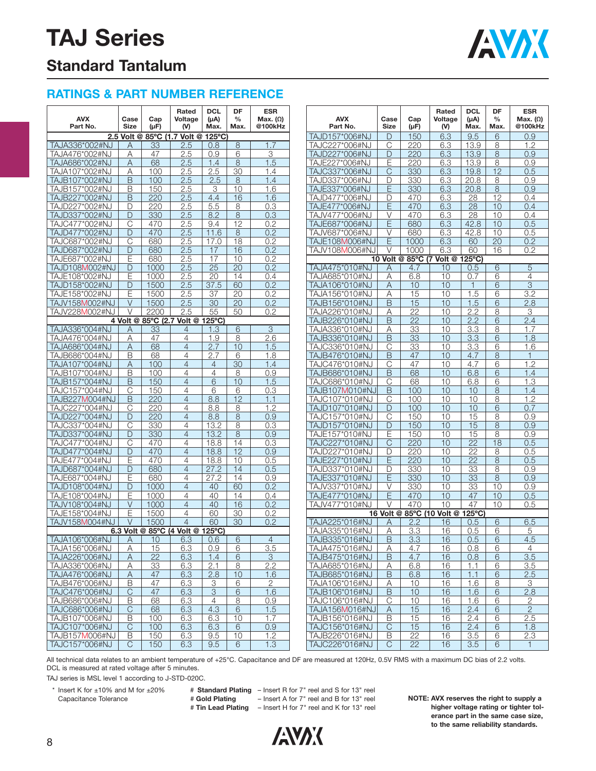

### **Standard Tantalum**

#### **RATINGS & PART NUMBER REFERENCE**

| <b>AVX</b><br>Part No.           | Case<br>Size | Cap<br>(µF) | Rated<br>Voltage<br>(V)          | <b>DCL</b><br>$(\mu A)$<br>Max. | DF<br>$\%$<br>Max. | <b>ESR</b><br>Max. $(\Omega)$<br>@100kHz | <b>AVX</b><br>Part No.           | Case<br><b>Size</b> | Cap<br>$(\mu F)$ | Rated<br>Voltage<br>(V)   | <b>DCL</b><br>$(\mu A)$<br>Max. | DF<br>$\%$<br>Max. | <b>ESR</b><br>Max. $(\Omega)$<br>@100kHz |
|----------------------------------|--------------|-------------|----------------------------------|---------------------------------|--------------------|------------------------------------------|----------------------------------|---------------------|------------------|---------------------------|---------------------------------|--------------------|------------------------------------------|
|                                  |              |             | 2.5 Volt @ 85°C (1.7 Volt @      | $125^{\circ}$ C                 |                    |                                          | TAJD157*006#NJ                   | D                   | 150              | 6.3                       | 9.5                             | 6                  | 0.9                                      |
| TAJA336*002#NJ                   | Α            | 33          | 2.5                              | 0.8                             | 8                  | 1.7                                      | TAJC227*006#NJ                   | C                   | 220              | 6.3                       | 13.9                            | 8                  | 1.2                                      |
| TAJA476*002#NJ                   | Α            | 47          | 2.5                              | 0.9                             | 6                  | 3                                        | TAJD227*006#NJ                   | D                   | 220              | 6.3                       | 13.9                            | 8                  | 0.9                                      |
| TAJA686*002#NJ                   | Α            | 68          | 2.5                              | 1.4                             | 8                  | 1.5                                      | TAJE227*006#NJ                   | E                   | 220              | 6.3                       | 13.9                            | 8                  | 0.9                                      |
| TAJA107*002#NJ                   | Α            | 100         | 2.5                              | 2.5                             | 30                 | 1.4                                      | TAJC337*006#NJ                   | C                   | 330              | 6.3                       | 19.8                            | 12                 | 0.5                                      |
| TAJB107*002#NJ                   | B            | 100         | 2.5                              | 2.5                             | 8                  | 1.4                                      | TAJD337*006#NJ                   | D                   | 330              | 6.3                       | 20.8                            | 8                  | 0.9                                      |
| TAJB157*002#NJ                   | B            | 150         | 2.5                              | 3                               | 10                 | 1.6                                      | TAJE337*006#NJ                   | E                   | 330              | 6.3                       | 20.8                            | 8                  | 0.9                                      |
| TAJB227*002#NJ                   | B            | 220         | 2.5                              | 4.4                             | 16                 | 1.6                                      | TAJD477*006#NJ                   | D                   | 470              | 6.3                       | 28                              | 12                 | 0.4                                      |
| TAJD227*002#NJ                   | D            | 220         | 2.5                              | 5.5                             | 8                  | 0.3                                      | TAJE477*006#NJ                   | E                   | 470              | 6.3                       | 28                              | 10                 | 0.4                                      |
| TAJD337*002#NJ                   | D            | 330         | 2.5                              | 8.2                             | 8                  | 0.3                                      | TAJV477*006#NJ                   | V                   | 470              | 6.3                       | 28                              | 10                 | 0.4                                      |
| TAJC477*002#NJ                   | C            | 470         | 2.5                              | 9.4                             | 12                 | 0.2                                      | TAJE687*006#NJ                   | E                   | 680              | 6.3                       | 42.8                            | 10                 | 0.5                                      |
| TAJD477*002#NJ                   | D            | 470         | 2.5                              | 11.6                            | 8                  | 0.2                                      | TAJV687*006#NJ                   | V                   | 680              | 6.3                       | 42.8                            | 10                 | 0.5                                      |
| TAJC687*002#NJ                   | C            | 680         | 2.5                              | 17.0                            | 18                 | 0.2                                      | TAJE108M006#NJ                   | E                   | 1000             | 6.3                       | 60                              | 20                 | 0.2                                      |
| TAJD687*002#NJ                   | D            | 680         | 2.5                              | 17                              | 16                 | 0.2                                      | <b>TAJV108M006#NJ</b>            | V                   | 1000             | 6.3                       | 60                              | 16                 | 0.2                                      |
| TAJE687*002#NJ                   | Ε            | 680         | 2.5                              | 17                              | 10                 | 0.2                                      |                                  | 10 Volt @           |                  | 85°C (7 Volt @ 125°C)     |                                 |                    |                                          |
| TAJD108M002#NJ                   | D            | 1000        | 2.5                              | $\overline{25}$                 | 20                 | 0.2                                      | TAJA475*010#NJ                   | Α                   | 4.7              | 10                        | 0.5                             | 6                  | 5                                        |
| TAJE108*002#NJ                   | Ε            | 1000        | 2.5                              | 20                              | 14                 | 0.4                                      | TAJA685*010#NJ                   | Α                   | 6.8              | 10                        | 0.7                             | 6                  | 4                                        |
| TAJD158*002#NJ                   | D            | 1500        | 2.5                              | 37.5                            | 60                 | 0.2                                      | TAJA106*010#NJ                   | Α                   | 10               | 10                        | $\overline{1}$                  | 6                  | $\ensuremath{\mathsf{3}}$                |
| TAJE158*002#NJ                   | Ε            | 1500        | 2.5                              | 37                              | 20                 | 0.2                                      | TAJA156*010#NJ                   | Α                   | 15               | 10                        | 1.5                             | 6                  | 3.2                                      |
| TAJV158M002#NJ                   | $\vee$       | 1500        | 2.5                              | 30                              | 20                 | 0.2                                      | TAJB156*010#NJ                   | B                   | 15               | 10                        | 1.5                             | 6                  | 2.8                                      |
| TAJV228M002#NJ                   | $\vee$       | 2200        | 2.5                              | 55                              | 50                 | 0.2                                      | TAJA226*010#NJ                   | Α                   | 22               | 10                        | 2.2                             | 8                  | 3                                        |
|                                  |              |             | 4 Volt @ 85°C (2.7 Volt @ 125°C) |                                 |                    |                                          | TAJB226*010#NJ                   | B                   | 22               | 10                        | 2.2                             | 6                  | 2.4                                      |
| TAJA336*004#NJ                   | Α            | 33          | 4                                | 1.3                             | 6                  | 3                                        | TAJA336*010#NJ                   | Α                   | 33               | 10                        | 3.3                             | 8                  | 1.7                                      |
| TAJA476*004#NJ                   | Α            | 47          | $\overline{4}$                   | 1.9                             | 8                  | 2.6                                      | TAJB336*010#NJ                   | B                   | 33               | 10                        | 3.3                             | 6                  | 1.8                                      |
| TAJA686*004#NJ                   | Α            | 68          | $\overline{4}$                   | 2.7                             | 10                 | 1.5                                      | TAJC336*010#NJ                   | С                   | 33               | 10                        | 3.3                             | 6                  | 1.6                                      |
| TAJB686*004#NJ                   | B            | 68          | $\overline{4}$                   | 2.7                             | 6                  | 1.8                                      | TAJB476*010#NJ                   | B                   | 47               | 10                        | 4.7                             | 8                  | $\mathbf{1}$                             |
| TAJA107*004#NJ                   | Α            | 100         | $\overline{4}$                   | $\overline{4}$                  | 30                 | 1.4                                      | TAJC476*010#NJ                   | С                   | 47               | 10                        | 4.7                             | 6                  | 1.2                                      |
| TAJB107*004#NJ                   | B            | 100         | 4                                | $\overline{4}$                  | 8                  | 0.9                                      | TAJB686*010#NJ                   | B                   | 68               | 10                        | 6.8                             | 6                  | 1.4                                      |
| TAJB157*004#NJ                   | B            | 150         | $\overline{4}$                   | 6                               | 10                 | 1.5                                      | TAJC686*010#NJ                   | С                   | 68               | 10                        | 6.8                             | 6                  | 1.3                                      |
| TAJC157*004#NJ                   | С            | 150         | 4                                | 6                               | 6                  | 0.3                                      | TAJB107M010#NJ                   | B                   | 100              | 10                        | 10                              | 8                  | 1.4                                      |
| TAJB227M004#NJ                   | B            | 220         | $\overline{4}$                   | 8.8                             | 12                 | 1.1                                      | TAJC107*010#NJ                   | С                   | 100              | 10<br>10                  | 10<br>10                        | 8                  | 1.2                                      |
| TAJC227*004#NJ                   | C            | 220         | 4<br>$\overline{4}$              | 8.8                             | 8                  | 1.2                                      | TAJD107*010#NJ                   | D                   | 100              | 10                        |                                 | 6                  | 0.7                                      |
| TAJD227*004#NJ<br>TAJC337*004#NJ | D            | 220<br>330  | 4                                | 8.8<br>13.2                     | 8                  | 0.9<br>0.3                               | TAJC157*010#NJ<br>TAJD157*010#NJ | С<br>D              | 150<br>150       | 10                        | 15<br>15                        | 8<br>8             | 0.9<br>0.9                               |
| TAJD337*004#NJ                   | С<br>D       | 330         | $\overline{4}$                   | 13.2                            | 8<br>8             | 0.9                                      | TAJE157*010#NJ                   | Ε                   | 150              | 10                        | 15                              | 8                  | 0.9                                      |
| TAJC477*004#NJ                   | C            | 470         | $\overline{4}$                   | 18.8                            | 14                 | 0.3                                      | TAJC227*010#NJ                   | C                   | 220              | 10                        | $\overline{22}$                 | 18                 | 0.5                                      |
| TAJD477*004#NJ                   | D            | 470         | $\overline{4}$                   | 18.8                            | 12                 | 0.9                                      | TAJD227*010#NJ                   | D                   | 220              | 10                        | 22                              | 8                  | 0.5                                      |
| TAJE477*004#NJ                   | Ε            | 470         | 4                                | 18.8                            | 10                 | 0.5                                      | TAJE227*010#NJ                   | E                   | 220              | 10                        | 22                              | 8                  | 0.5                                      |
| TAJD687*004#NJ                   | D            | 680         | $\overline{4}$                   | 27.2                            | 14                 | 0.5                                      | TAJD337*010#NJ                   | D                   | 330              | 10                        | 33                              | 8                  | 0.9                                      |
| TAJE687*004#NJ                   | Ε            | 680         | $\overline{4}$                   | 27.2                            | 14                 | 0.9                                      | TAJE337*010#NJ                   | E                   | 330              | 10                        | 33                              | 8                  | 0.9                                      |
| TAJD108*004#NJ                   | D            | 1000        | $\overline{4}$                   | 40                              | 60                 | 0.2                                      | TAJV337*010#NJ                   | V                   | 330              | 10                        | 33                              | 10                 | 0.9                                      |
| TAJE108*004#NJ                   | Ε            | 1000        | $\overline{4}$                   | 40                              | 14                 | 0.4                                      | TAJE477*010#NJ                   | E                   | 470              | 10                        | 47                              | 10                 | 0.5                                      |
| TAJV108*004#NJ                   | $\vee$       | 1000        | $\overline{4}$                   | 40                              | 16                 | 0.2                                      | TAJV477*010#NJ                   | V                   | 470              | 10                        | 47                              | 10                 | 0.5                                      |
| TAJE158*004#NJ                   | E            | 1500        | $\overline{4}$                   | 60                              | 30                 | 0.2                                      |                                  |                     |                  | 16 Volt @ 85°C (10 Volt @ | 125°C)                          |                    |                                          |
| TAJV158M004#NJ                   | $\vee$       | 1500        | $\overline{4}$                   | 60                              | 30                 | 0.2                                      | TAJA225*016#NJ                   | Α                   | 2.2              | 16                        | 0.5                             | 6                  | 6.5                                      |
|                                  |              |             | 6.3 Volt @ 85°C (4 Volt @ 125°C) |                                 |                    |                                          | TAJA335*016#NJ                   | Α                   | 3.3              | 16                        | 0.5                             | 6                  | 5                                        |
| TAJA106*006#NJ                   | А            | 10          | 6.3                              | 0.6                             | 6                  | 4                                        | TAJB335*016#NJ                   | B                   | 3.3              | 16                        | 0.5                             | 6                  | 4.5                                      |
| TAJA156*006#NJ                   | Α            | 15          | 6.3                              | 0.9                             | 6                  | 3.5                                      | TAJA475*016#NJ                   | Α                   | 4.7              | 16                        | 0.8                             | 6                  | 4                                        |
| TAJA226*006#NJ                   | Α            | 22          | 6.3                              | 1.4                             | 6                  | $\mathbf{3}$                             | TAJB475*016#NJ                   | B                   | 4.7              | 16                        | 0.8                             | 6                  | 3.5                                      |
| TAJA336*006#NJ                   | Α            | 33          | 6.3                              | 2.1                             | 8                  | 2.2                                      | TAJA685*016#NJ                   | Α                   | 6.8              | 16                        | 1.1                             | 6                  | 3.5                                      |
| TAJA476*006#NJ                   | Α            | 47          | 6.3                              | 2.8                             | 10                 | 1.6                                      | TAJB685*016#NJ                   | B                   | 6.8              | 16                        | 1.1                             | 6                  | 2.5                                      |
| TAJB476*006#NJ                   | B            | 47          | 6.3                              | $\mathcal{S}$                   | 6                  | $\overline{2}$                           | TAJA106*016#NJ                   | Α                   | 10               | 16                        | 1.6                             | 8                  | 3                                        |
| TAJC476*006#NJ                   | C            | 47          | 6.3                              | 3                               | 6                  | 1.6                                      | TAJB106*016#NJ                   | B                   | 10               | 16                        | 1.6                             | 6                  | 2.8                                      |
| TAJB686*006#NJ                   | B            | 68          | 6.3                              | $\overline{4}$                  | 8                  | 0.9                                      | TAJC106*016#NJ                   | C                   | 10               | 16                        | 1.6                             | 6                  | 2                                        |
| TAJC686*006#NJ                   | C            | 68          | 6.3                              | 4.3                             | 6                  | 1.5                                      | TAJA156M016#NJ                   | Α                   | 15               | 16                        | 2.4                             | 6                  | $\overline{2}$                           |
| TAJB107*006#NJ                   | B            | 100         | 6.3                              | 6.3                             | 10                 | 1.7                                      | TAJB156*016#NJ                   | B                   | 15               | 16                        | 2.4                             | 6                  | 2.5                                      |
| TAJC107*006#NJ                   | C            | 100         | 6.3                              | 6.3                             | 6                  | 0.9                                      | TAJC156*016#NJ                   | $\mathsf{C}$        | 15               | 16                        | 2.4                             | 6                  | 1.8                                      |
| TAJB157M006#NJ                   | B            | 150         | 6.3                              | 9.5                             | 10                 | 1.2                                      | TAJB226*016#NJ                   | B                   | 22               | 16                        | 3.5                             | 6                  | 2.3                                      |
| TAJC157*006#NJ                   | С            | 150         | 6.3                              | 9.5                             | 6                  | 1.3                                      | TAJC226*016#NJ                   | С                   | 22               | 16                        | 3.5                             | 6                  | 1.                                       |

All technical data relates to an ambient temperature of +25°C. Capacitance and DF are measured at 120Hz, 0.5V RMS with a maximum DC bias of 2.2 volts. DCL is measured at rated voltage after 5 minutes.

TAJ series is MSL level 1 according to J-STD-020C.

\* Insert K for ±10% and M for ±20% # Standard Plating - Insert R for 7" reel and S for 13" reel Capacitance Tolerance # **Gold Plating** – Insert A for 7" reel and B for 13" reel # **Tin Lead Plating** – Insert H for 7" reel and K for 13" reel

**NOTE: AVX reserves the right to supply a higher voltage rating or tighter tolerance part in the same case size, to the same reliability standards.**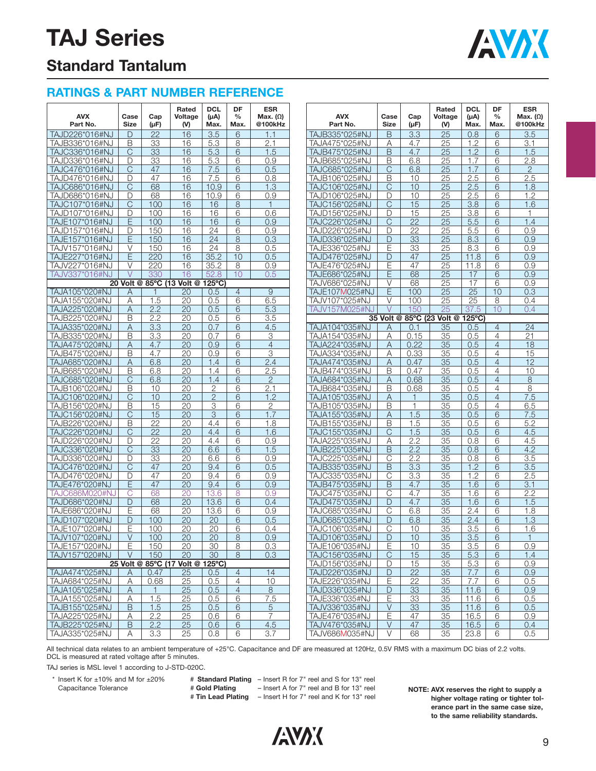

### **Standard Tantalum**

### **RATINGS & PART NUMBER REFERENCE**

| <b>AVX</b><br>Part No.           | Case<br><b>Size</b> | Cap<br>(µF)     | Rated<br>Voltage<br>(V)          | <b>DCL</b><br>$(\mu A)$<br>Max. | DF<br>$\frac{0}{0}$<br>Max. | <b>ESR</b><br>Max. $(\Omega)$<br>@100kHz | <b>AVX</b><br>Part No.           | Case<br>Size | Cap<br>$(\mu F)$ | Rated<br>Voltage<br>(V)          | <b>DCL</b><br>$(\mu A)$<br>Max. | DF<br>$\frac{0}{0}$<br>Max. | <b>ESR</b><br>Max. $(\Omega)$<br>@100kHz |
|----------------------------------|---------------------|-----------------|----------------------------------|---------------------------------|-----------------------------|------------------------------------------|----------------------------------|--------------|------------------|----------------------------------|---------------------------------|-----------------------------|------------------------------------------|
| TAJD226*016#NJ                   | D                   | 22              | 16                               | 3.5                             | 6                           | 1.1                                      | TAJB335*025#NJ                   | B            | 3.3              | 25                               | 0.8                             | 6                           | 3.5                                      |
| TAJB336*016#NJ                   | B                   | 33              | 16                               | 5.3                             | 8                           | 2.1                                      | TAJA475*025#NJ                   | Α            | 4.7              | 25                               | 1.2                             | 6                           | 3.1                                      |
| TAJC336*016#NJ                   | C                   | 33              | 16                               | 5.3                             | 6                           | 1.5                                      | TAJB475*025#NJ                   | B            | 4.7              | 25                               | 1.2                             | 6                           | 1.5                                      |
| TAJD336*016#NJ                   | D                   | 33              | 16                               | 5.3                             | 6                           | 0.9                                      | TAJB685*025#NJ                   | Β            | 6.8              | 25                               | 1.7                             | 6                           | 2.8                                      |
| TAJC476*016#NJ                   | C                   | 47              | 16                               | 7.5                             | 6                           | 0.5                                      | TAJC685*025#NJ                   | С            | 6.8              | 25                               | 1.7                             | 6                           | $\overline{2}$                           |
| TAJD476*016#NJ                   | D                   | 47              | 16                               | 7.5                             | 6                           | 0.8                                      | TAJB106*025#NJ                   | Β            | 10               | 25                               | 2.5                             | 6                           | 2.5                                      |
| TAJC686*016#NJ                   | C                   | 68              | 16                               | 10.9                            | 6                           | 1.3                                      | TAJC106*025#NJ                   | С            | 10               | 25                               | 2.5                             | 6                           | 1.8                                      |
| TAJD686*016#NJ                   | D                   | 68              | 16                               | 10.9                            | 6                           | 0.9                                      | TAJD106*025#NJ                   | D            | 10               | 25                               | 2.5                             | 6                           | 1.2                                      |
| TAJC107*016#NJ                   | C                   | 100             | 16                               | 16                              | 8                           | 1                                        | TAJC156*025#NJ                   | C            | 15               | 25                               | 3.8                             | 6                           | 1.6                                      |
| TAJD107*016#NJ                   | D                   | 100             | 16                               | 16                              | 6                           | 0.6                                      | TAJD156*025#NJ                   | D            | 15               | 25                               | 3.8                             | 6                           | 1                                        |
| TAJE107*016#NJ                   | E                   | 100             | 16                               | 16                              | 6                           | 0.9                                      | TAJC226*025#NJ                   | C            | $\overline{22}$  | 25                               | 5.5                             | 6                           | 1.4                                      |
| TAJD157*016#NJ                   | D                   | 150             | 16                               | 24                              | 6                           | 0.9                                      | TAJD226*025#NJ                   | D            | 22               | 25                               | 5.5                             | 6                           | 0.9                                      |
| TAJE157*016#NJ                   | Е                   | 150             | 16                               | 24                              | 8                           | 0.3                                      | TAJD336*025#NJ                   | D            | 33               | 25                               | 8.3                             | 6                           | 0.9                                      |
| TAJV157*016#NJ<br>TAJE227*016#NJ | V<br>E              | 150<br>220      | 16<br>16                         | 24<br>35.2                      | 8<br>10                     | 0.5                                      | TAJE336*025#NJ                   | Е<br>D       | 33<br>47         | 25<br>25                         | 8.3                             | 6                           | 0.9<br>0.9                               |
|                                  | V                   | 220             | 16                               |                                 | 8                           | 0.5                                      | TAJD476*025#NJ<br>TAJE476*025#NJ | Ε            | 47               | 25                               | 11.8                            | 6<br>6                      | 0.9                                      |
| TAJV227*016#NJ<br>TAJV337*016#NJ | $\vee$              | 330             | 16                               | 35.2<br>52.8                    | 10                          | 0.9<br>0.5                               | TAJE686*025#NJ                   | E            | 68               | 25                               | 11.8<br>17                      | 6                           | 0.9                                      |
|                                  |                     |                 | 20 Volt @ 85°C (13 Volt @        | $125^{\circ}$ C)                |                             |                                          | TAJV686*025#NJ                   | V            | 68               | 25                               | 17                              | 6                           | 0.9                                      |
| TAJA105*020#NJ                   | Α                   | 1               | 20                               | 0.5                             | $\overline{4}$              | 9                                        | TAJE107M025#NJ                   | E            | 100              | 25                               | 25                              | 10                          | 0.3                                      |
| TAJA155*020#NJ                   | Α                   | 1.5             | 20                               | 0.5                             | 6                           | 6.5                                      | TAJV107*025#NJ                   | V            | 100              | 25                               | 25                              | 8                           | 0.4                                      |
| TAJA225*020#NJ                   | Α                   | 2.2             | 20                               | 0.5                             | 6                           | 5.3                                      | TAJV157M025#NJ                   | $\vee$       | 150              | 25                               | 37.5                            | 10                          | 0.4                                      |
| TAJB225*020#NJ                   | B                   | 2.2             | 20                               | 0.5                             | 6                           | 3.5                                      |                                  |              |                  | 35 Volt @ 85°C (23 Volt @ 125°C) |                                 |                             |                                          |
| TAJA335*020#NJ                   | Α                   | 3.3             | 20                               | 0.7                             | 6                           | 4.5                                      | TAJA104*035#NJ                   | Α            | 0.1              | 35                               | 0.5                             | $\overline{4}$              | 24                                       |
| TAJB335*020#NJ                   | B                   | 3.3             | 20                               | 0.7                             | 6                           | 3                                        | TAJA154*035#NJ                   | Α            | 0.15             | 35                               | 0.5                             | 4                           | $\overline{21}$                          |
| TAJA475*020#NJ                   | Α                   | 4.7             | 20                               | 0.9                             | 6                           | $\overline{4}$                           | TAJA224*035#NJ                   | A            | 0.22             | 35                               | 0.5                             | $\overline{4}$              | 18                                       |
| TAJB475*020#NJ                   | B                   | 4.7             | 20                               | 0.9                             | 6                           | 3                                        | TAJA334*035#NJ                   | Α            | 0.33             | 35                               | 0.5                             | $\overline{4}$              | 15                                       |
| TAJA685*020#NJ                   | Α                   | 6.8             | 20                               | 1.4                             | 6                           | 2.4                                      | TAJA474*035#NJ                   | Α            | 0.47             | 35                               | 0.5                             | $\overline{4}$              | 12                                       |
| TAJB685*020#NJ                   | B                   | 6.8             | 20                               | 1.4                             | 6                           | 2.5                                      | TAJB474*035#NJ                   | Β            | 0.47             | 35                               | 0.5                             | $\overline{4}$              | 10                                       |
| TAJC685*020#NJ                   | C                   | 6.8             | 20                               | 1.4                             | 6                           | $\overline{2}$                           | TAJA684*035#NJ                   | Α            | 0.68             | 35                               | 0.5                             | $\overline{4}$              | 8                                        |
| TAJB106*020#NJ                   | B                   | 10              | 20                               | 2                               | 6                           | 2.1                                      | TAJB684*035#NJ                   | Β            | 0.68             | 35                               | 0.5                             | 4                           | 8                                        |
| TAJC106*020#NJ                   | C                   | 10              | 20                               | $\overline{2}$                  | 6                           | 1.2                                      | TAJA105*035#NJ                   | Α            | 1                | 35                               | 0.5                             | $\overline{4}$              | 7.5                                      |
| TAJB156*020#NJ                   | B                   | 15              | 20                               | 3                               | 6                           | 2                                        | TAJB105*035#NJ                   | Β            | 1                | 35                               | 0.5                             | 4                           | 6.5                                      |
| TAJC156*020#NJ                   | C                   | 15              | 20                               | 3                               | 6                           | 1.7                                      | TAJA155*035#NJ                   | Α            | 1.5              | 35                               | 0.5                             | 6                           | 7.5                                      |
| TAJB226*020#NJ                   | B                   | 22              | 20                               | 4.4                             | 6                           | 1.8                                      | TAJB155*035#NJ                   | Β            | 1.5              | 35                               | 0.5                             | 6                           | 5.2                                      |
| TAJC226*020#NJ                   | C                   | $\overline{22}$ | 20                               | 4.4                             | 6                           | 1.6                                      | TAJC155*035#NJ                   | C            | 1.5              | 35                               | 0.5                             | 6                           | 4.5                                      |
| TAJD226*020#NJ                   | D                   | 22              | 20                               | 4.4                             | 6                           | 0.9                                      | TAJA225*035#NJ                   | Α            | 2.2              | 35                               | 0.8                             | 6                           | 4.5                                      |
| TAJC336*020#NJ                   | C                   | 33              | 20                               | 6.6                             | 6                           | 1.5                                      | TAJB225*035#NJ                   | B            | 2.2              | 35                               | 0.8                             | 6                           | 4.2                                      |
| TAJD336*020#NJ                   | D                   | 33              | 20                               | 6.6                             | 6                           | 0.9                                      | TAJC225*035#NJ                   | C            | 2.2              | 35                               | 0.8                             | 6                           | 3.5                                      |
| TAJC476*020#NJ                   | C                   | 47              | 20                               | 9.4                             | 6                           | 0.5                                      | TAJB335*035#NJ                   | B            | 3.3              | 35                               | 1.2                             | 6                           | 3.5                                      |
| TAJD476*020#NJ                   | D                   | 47              | 20                               | 9.4                             | 6                           | 0.9                                      | TAJC335*035#NJ                   | С            | 3.3              | 35                               | 1.2                             | 6                           | 2.5                                      |
| TAJE476*020#NJ                   | E                   | 47              | 20                               | 9.4                             | 6                           | 0.9                                      | TAJB475*035#NJ                   | B            | 4.7              | 35                               | 1.6                             | 6                           | 3.1                                      |
| TAJC686M020#NJ                   | С                   | 68              | 20                               | 13.6                            | 8                           | 0.9                                      | TAJC475*035#NJ                   | С            | 4.7              | 35                               | 1.6                             | 6                           | 2.2                                      |
| TAJD686*020#NJ                   | D                   | 68              | 20                               | 13.6                            | 6                           | 0.4                                      | TAJD475*035#NJ                   | D            | 4.7              | 35                               | 1.6                             | 6                           | 1.5                                      |
| TAJE686*020#NJ                   | E                   | 68              | 20                               | 13.6                            | 6                           | 0.9                                      | TAJC685*035#NJ                   | $\mathsf{C}$ | 6.8              | 35                               | 2.4                             | 6                           | 1.8                                      |
| TAJD107*020#NJ                   | D                   | 100             | 20                               | 20                              | 6                           | 0.5                                      | TAJD685*035#NJ                   | D            | 6.8              | 35                               | 2.4                             | 6                           | 1.3                                      |
| TAJE107*020#NJ                   | Е                   | 100             | 20                               | 20                              | 6                           | 0.4                                      | TAJC106*035#NJ                   | С            | 10               | 35                               | 3.5                             | 6                           | 1.6                                      |
| TA. IV107*020#N. I               | $\vee$              | 100             | 20                               | 20                              | 8                           | 0.9                                      | TAJD106*035#NJ                   | D            | 10               | 35                               | 3.5                             | 6                           | $\mathbf{1}$                             |
| TAJE157*020#NJ                   | E                   | 150             | 20                               | 30                              | 8                           | 0.3                                      | TAJE106*035#NJ                   | E            | 10               | 35                               | 3.5                             | 6                           | 0.9                                      |
| TAJV157*020#NJ                   | $\vee$              | 150             | 20                               | 30                              | 8                           | 0.3                                      | TAJC156*035#NJ                   | C            | 15               | 35                               | 5.3                             | 6                           | 1.4                                      |
|                                  |                     |                 | 25 Volt @ 85°C (17 Volt @ 125°C) |                                 |                             |                                          | TAJD156*035#NJ                   | D            | 15               | 35                               | 5.3                             | 6                           | 0.9                                      |
| TAJA474*025#NJ                   | A                   | 0.47            | 25                               | 0.5                             | $\overline{4}$              | 14                                       | TAJD226*035#NJ                   | $\mathsf{D}$ | 22               | 35                               | 7.7                             | 6                           | 0.9                                      |
| TAJA684*025#NJ                   | Α                   | 0.68            | 25                               | 0.5                             | $\overline{4}$              | 10                                       | TAJE226*035#NJ                   | Ε            | 22               | 35                               | 7.7                             | 6                           | 0.5                                      |
| TAJA105*025#NJ                   | A                   | 1               | 25                               | 0.5                             | $\overline{4}$              | 8                                        | TAJD336*035#NJ                   | $\mathsf{D}$ | 33               | 35                               | 11.6                            | 6                           | 0.9                                      |
| TAJA155*025#NJ                   | Α                   | 1.5             | 25                               | 0.5                             | 6                           | 7.5                                      | TAJE336*035#NJ                   | Ε            | 33               | 35                               | 11.6                            | 6                           | 0.5                                      |
| TAJB155*025#NJ                   | B                   | 1.5             | 25                               | 0.5                             | 6                           | 5                                        | TAJV336*035#NJ                   | $\vee$       | 33               | 35                               | 11.6                            | 6                           | 0.5                                      |
| TAJA225*025#NJ                   | Α                   | 2.2             | 25                               | 0.6                             | 6                           | $\overline{7}$                           | TAJE476*035#NJ                   | Ε<br>$\vee$  | 47               | 35                               | 16.5                            | 6                           | 0.9                                      |
| TAJB225*025#NJ                   | $\mathsf B$         | 2.2             | 25                               | 0.6                             | 6                           | 4.5                                      | TAJV476*035#NJ<br>TAJV686M035#NJ | $\vee$       | 47               | 35                               | 16.5                            | 6                           | 0.4                                      |
| TAJA335*025#NJ                   | Α                   | 3.3             | 25                               | 0.8                             | 6                           | 3.7                                      |                                  |              | 68               | 35                               | 23.8                            | 6                           | 0.5                                      |

All technical data relates to an ambient temperature of +25°C. Capacitance and DF are measured at 120Hz, 0.5V RMS with a maximum DC bias of 2.2 volts. DCL is measured at rated voltage after 5 minutes.

TAJ series is MSL level 1 according to J-STD-020C.

\* Insert K for ±10% and M for ±20% # **Standard Plating** – Insert R for 7" reel and S for 13" reel

Capacitance Tolerance # **Gold Plating** – Insert A for 7" reel and B for 13" reel # **Tin Lead Plating** – Insert H for 7" reel and K for 13" reel

**NOTE: AVX reserves the right to supply a higher voltage rating or tighter tolerance part in the same case size, to the same reliability standards.**